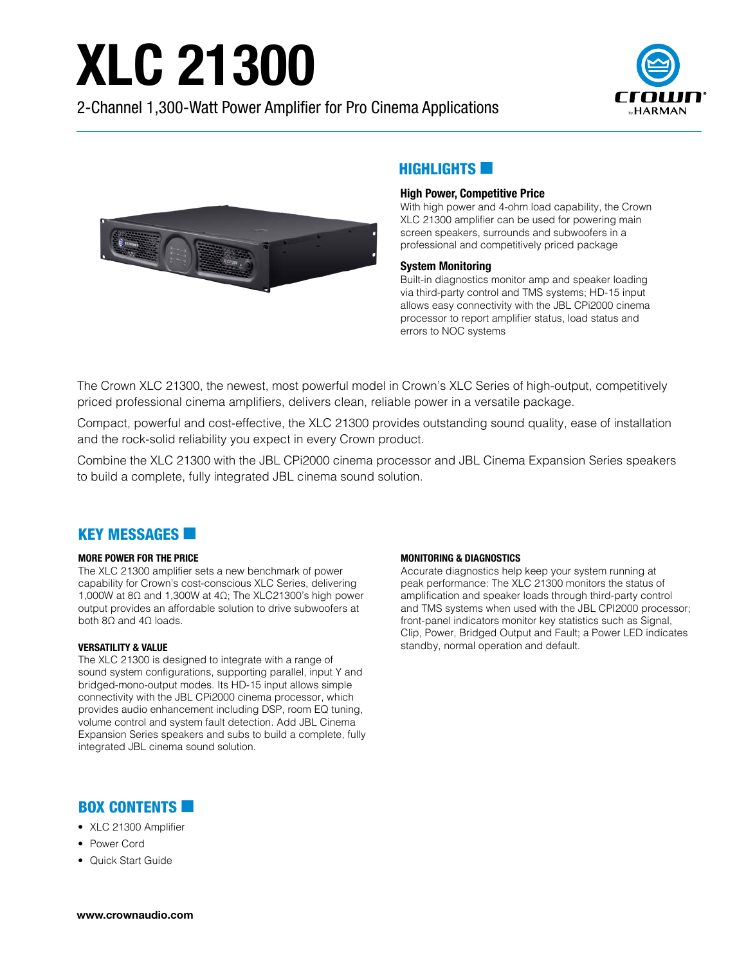# **XLC 21300**

2-Channel 1,300-Watt Power Amplifier for Pro Cinema Applications





## HIGHLIGHTS **EX**

### High Power, Competitive Price

With high power and 4-ohm load capability, the Crown XLC 21300 amplifier can be used for powering main screen speakers, surrounds and subwoofers in a professional and competitively priced package

### System Monitoring

Built-in diagnostics monitor amp and speaker loading via third-party control and TMS systems; HD-15 input allows easy connectivity with the JBL CPi2000 cinema processor to report amplifier status, load status and errors to NOC systems

The Crown XLC 21300, the newest, most powerful model in Crown's XLC Series of high-output, competitively priced professional cinema amplifiers, delivers clean, reliable power in a versatile package.

Compact, powerful and cost-effective, the XLC 21300 provides outstanding sound quality, ease of installation and the rock-solid reliability you expect in every Crown product.

Combine the XLC 21300 with the JBL CPi2000 cinema processor and JBL Cinema Expansion Series speakers to build a complete, fully integrated JBL cinema sound solution.

## **KEY MESSAGES**

#### MORE POWER FOR THE PRICE

The XLC 21300 amplifier sets a new benchmark of power capability for Crown's cost-conscious XLC Series, delivering 1,000W at 8Ω and 1,300W at 4Ω; The XLC21300's high power output provides an affordable solution to drive subwoofers at both  $8Ω$  and  $4Ω$  loads.

#### VERSATILITY & VALUE

The XLC 21300 is designed to integrate with a range of sound system configurations, supporting parallel, input Y and bridged-mono-output modes. Its HD-15 input allows simple connectivity with the JBL CPi2000 cinema processor, which provides audio enhancement including DSP, room EQ tuning, volume control and system fault detection. Add JBL Cinema Expansion Series speakers and subs to build a complete, fully integrated JBL cinema sound solution.

#### MONITORING & DIAGNOSTICS

Accurate diagnostics help keep your system running at peak performance: The XLC 21300 monitors the status of amplification and speaker loads through third-party control and TMS systems when used with the JBL CPI2000 processor; front-panel indicators monitor key statistics such as Signal, Clip, Power, Bridged Output and Fault; a Power LED indicates standby, normal operation and default.

## **BOX CONTENTS**

- XLC 21300 Amplifier
- Power Cord
- Quick Start Guide